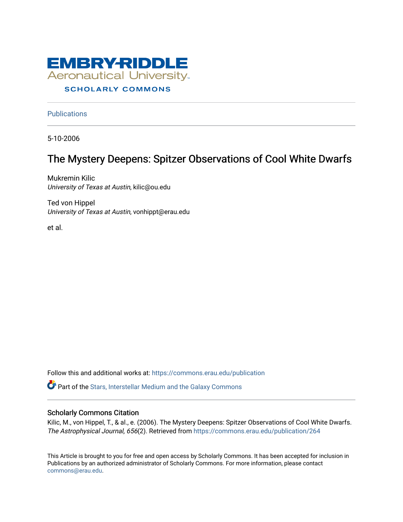

# **SCHOLARLY COMMONS**

**Publications** 

5-10-2006

# The Mystery Deepens: Spitzer Observations of Cool White Dwarfs

Mukremin Kilic University of Texas at Austin, kilic@ou.edu

Ted von Hippel University of Texas at Austin, vonhippt@erau.edu

et al.

Follow this and additional works at: [https://commons.erau.edu/publication](https://commons.erau.edu/publication?utm_source=commons.erau.edu%2Fpublication%2F264&utm_medium=PDF&utm_campaign=PDFCoverPages) 

Part of the [Stars, Interstellar Medium and the Galaxy Commons](http://network.bepress.com/hgg/discipline/127?utm_source=commons.erau.edu%2Fpublication%2F264&utm_medium=PDF&utm_campaign=PDFCoverPages) 

# Scholarly Commons Citation

Kilic, M., von Hippel, T., & al., e. (2006). The Mystery Deepens: Spitzer Observations of Cool White Dwarfs. The Astrophysical Journal, 656(2). Retrieved from [https://commons.erau.edu/publication/264](https://commons.erau.edu/publication/264?utm_source=commons.erau.edu%2Fpublication%2F264&utm_medium=PDF&utm_campaign=PDFCoverPages) 

This Article is brought to you for free and open access by Scholarly Commons. It has been accepted for inclusion in Publications by an authorized administrator of Scholarly Commons. For more information, please contact [commons@erau.edu](mailto:commons@erau.edu).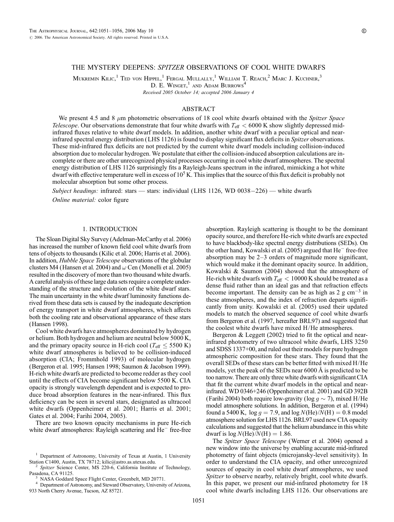# THE MYSTERY DEEPENS: SPITZER OBSERVATIONS OF COOL WHITE DWARFS

Mukremin Kilic,<sup>1</sup> Ted von Hippel,<sup>1</sup> Fergal Mullally,<sup>1</sup> William T. Reach,<sup>2</sup> Marc J. Kuchner,<sup>3</sup> D. E. WINGET,<sup>1</sup> AND ADAM BURROWS<sup>4</sup>

Received 2005 October 14; accepted 2006 January 4

#### ABSTRACT

We present 4.5 and 8  $\mu$ m photometric observations of 18 cool white dwarfs obtained with the Spitzer Space *Telescope*. Our observations demonstrate that four white dwarfs with  $T_{\text{eff}} < 6000 \text{ K}$  show slightly depressed midinfrared fluxes relative to white dwarf models. In addition, another white dwarf with a peculiar optical and nearinfrared spectral energy distribution (LHS 1126) is found to display significant flux deficits in Spitzer observations. These mid-infrared flux deficits are not predicted by the current white dwarf models including collision-induced absorption due to molecular hydrogen. We postulate that either the collision-induced absorption calculations are incomplete or there are other unrecognized physical processes occurring in cool white dwarf atmospheres. The spectral energy distribution of LHS 1126 surprisingly fits a Rayleigh-Jeans spectrum in the infrared, mimicking a hot white dwarf with effective temperature well in excess of  $10^5$  K. This implies that the source of this flux deficit is probably not molecular absorption but some other process.

Subject headings: infrared: stars — stars: individual (LHS 1126, WD 0038-226) — white dwarfs Online material: color figure

#### 1. INTRODUCTION

The Sloan Digital Sky Survey (Adelman-McCarthy et al. 2006) has increased the number of known field cool white dwarfs from tens of objects to thousands (Kilic et al. 2006; Harris et al. 2006). In addition, Hubble Space Telescope observations of the globular clusters M4 (Hansen et al. 2004) and  $\omega$  Cen (Monelli et al. 2005) resulted in the discovery of more than two thousand white dwarfs. A careful analysis of these large data sets require a complete understanding of the structure and evolution of the white dwarf stars. The main uncertainty in the white dwarf luminosity functions derived from these data sets is caused by the inadequate description of energy transport in white dwarf atmospheres, which affects both the cooling rate and observational appearance of these stars (Hansen 1998).

Cool white dwarfs have atmospheres dominated by hydrogen or helium. Both hydrogen and helium are neutral below 5000 K, and the primary opacity source in H-rich cool ( $T_{\text{eff}} \leq 5500 \text{ K}$ ) white dwarf atmospheres is believed to be collision-induced absorption (CIA; Frommhold 1993) of molecular hydrogen (Bergeron et al. 1995; Hansen 1998; Saumon & Jacobson 1999). H-rich white dwarfs are predicted to become redder as they cool until the effects of CIA become significant below 5500 K. CIA opacity is strongly wavelength dependent and is expected to produce broad absorption features in the near-infrared. This flux deficiency can be seen in several stars, designated as ultracool white dwarfs (Oppenheimer et al. 2001; Harris et al. 2001; Gates et al. 2004; Farihi 2004, 2005).

There are two known opacity mechanisms in pure He-rich white dwarf atmospheres: Rayleigh scattering and  $He^-$  free-free absorption. Rayleigh scattering is thought to be the dominant opacity source, and therefore He-rich white dwarfs are expected to have blackbody-like spectral energy distributions (SEDs). On the other hand, Kowalski et al. (2005) argued that  $He^-$  free-free absorption may be 2–3 orders of magnitude more significant, which would make it the dominant opacity source. In addition, Kowalski & Saumon (2004) showed that the atmosphere of He-rich white dwarfs with  $T_{\text{eff}} < 10000$  K should be treated as a dense fluid rather than an ideal gas and that refraction effects become important. The density can be as high as  $2 \text{ g cm}^{-3}$  in these atmospheres, and the index of refraction departs significantly from unity. Kowalski et al. (2005) used their updated models to match the observed sequence of cool white dwarfs from Bergeron et al. (1997, hereafter BRL97) and suggested that the coolest white dwarfs have mixed H/He atmospheres.

Bergeron & Leggett (2002) tried to fit the optical and nearinfrared photometry of two ultracool white dwarfs, LHS 3250 and SDSS 1337+00, and ruled out their models for pure hydrogen atmospheric composition for these stars. They found that the overall SEDs of these stars can be better fitted with mixed H/He models, yet the peak of the SEDs near  $6000 \text{ Å}$  is predicted to be too narrow. There are only three white dwarfs with significant CIA that fit the current white dwarf models in the optical and nearinfrared. WD 0346+246 (Oppenheimer et al. 2001) and GD 392B (Farihi 2004) both require low-gravity (log  $g \sim 7$ ), mixed H/He model atmosphere solutions. In addition, Bergeron et al. (1994) found a 5400 K,  $\log g = 7.9$ , and  $\log N(\text{He})/N(\text{H}) = 0.8$  model atmosphere solution for LHS 1126. BRL97 used new CIA opacity calculations and suggested that the helium abundance in this white dwarf is  $log N(He)/N(H) = 1.86$ .

The Spitzer Space Telescope (Werner et al. 2004) opened a new window into the universe by enabling accurate mid-infrared photometry of faint objects (microjansky-level sensitivity). In order to understand the CIA opacity, and other unrecognized sources of opacity in cool white dwarf atmospheres, we used Spitzer to observe nearby, relatively bright, cool white dwarfs. In this paper, we present our mid-infrared photometry for 18 cool white dwarfs including LHS 1126. Our observations are

<sup>1</sup> Department of Astronomy, University of Texas at Austin, 1 University

Station C1400, Austin, TX 78712; kilic@astro.as.utexas.edu.<br><sup>2</sup> Spitzer Science Center, MS 220-6, California Institute of Technology, Pasadena, CA 91125.

 $^3$  NASA Goddard Space Flight Center, Greenbelt, MD 20771.<br> $^4$  Department of Astronomy, and Steward Observatory, University of Arizona, 933 North Cherry Avenue, Tucson, AZ 85721.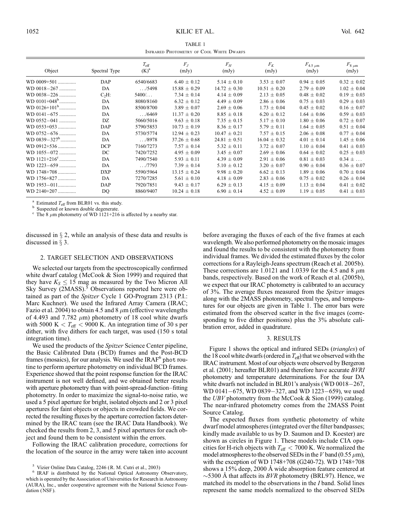TABLE 1 Infrared Photometry of Cool White Dwarfs

| Object                | Spectral Type | $T_{\rm eff}$<br>$(K)^a$ | $F_I$<br>(mJy)   | $F_H$<br>(mJy)   | $F_K$<br>(mJy)   | $F_{4.5 \mu m}$<br>(mJy) | $F_{8 \mu m}$<br>(mJy) |
|-----------------------|---------------|--------------------------|------------------|------------------|------------------|--------------------------|------------------------|
| $WD 0009 + 501$       | DAP           | 6540/6683                | $6.40 \pm 0.12$  | $5.14 \pm 0.10$  | $3.53 \pm 0.07$  | $0.94 \pm 0.05$          | $0.32 \pm 0.02$        |
| WD 0018-267           | DA            | . . / 5498               | $15.88 \pm 0.29$ | $14.72 \pm 0.30$ | $10.51 \pm 0.20$ | $2.79 \pm 0.09$          | $1.02 \pm 0.04$        |
| WD 0038-226           | $C2H$ :       | $5400/$                  | 7.34 $\pm$ 0.14  | $4.14 \pm 0.09$  | $2.13 \pm 0.05$  | $0.48 \pm 0.02$          | $0.19 \pm 0.03$        |
| $WD 0101+048^b$       | DA            | 8080/8160                | $6.32 \pm 0.12$  | $4.49 \pm 0.09$  | $2.86 \pm 0.06$  | $0.75 \pm 0.03$          | $0.29 \pm 0.03$        |
| WD $0126+101^b$       | DA            | 8500/8700                | $3.89 \pm 0.07$  | $2.69 \pm 0.06$  | $1.73 \pm 0.04$  | $0.45 \pm 0.02$          | $0.16 \pm 0.07$        |
| WD 0141-675           | DA            | . . / 6469               | $11.37 \pm 0.20$ | $8.85 \pm 0.18$  | $6.20 \pm 0.12$  | $1.64 \pm 0.06$          | $0.59 \pm 0.03$        |
| $WD$ 0552-041         | DZ            | 5060/5016                | $9.63 \pm 0.18$  | $7.35 \pm 0.15$  | $5.17 \pm 0.10$  | $1.80 \pm 0.06$          | $0.72 \pm 0.07$        |
| WD 0553+053           | DAP           | 5790/5853                | $10.73 \pm 0.19$ | $8.36 \pm 0.17$  | $5.79 \pm 0.11$  | $1.64 \pm 0.05$          | $0.51 \pm 0.04$        |
| $WD 0752 - 676$       | DA            | 5730/5774                | $12.94 \pm 0.23$ | $10.47 \pm 0.21$ | $7.57 \pm 0.15$  | $2.06 \pm 0.08$          | $0.77 \pm 0.04$        |
| WD $0839 - 327^b$     | DA            | . / 8978                 | $37.26 \pm 0.68$ | $24.81 \pm 0.51$ | $16.04 \pm 0.32$ | $4.01 \pm 0.14$          | $1.45 \pm 0.06$        |
| WD 0912+536           | <b>DCP</b>    | 7160/7273                | $7.57 \pm 0.14$  | $5.32 \pm 0.11$  | $3.72 \pm 0.07$  | $1.10 \pm 0.04$          | $0.41 \pm 0.03$        |
| WD 1055-072           | DC            | 7420/7252                | $4.95 \pm 0.09$  | $3.45 \pm 0.07$  | $2.69 \pm 0.06$  | $0.64 \pm 0.02$          | $0.25 \pm 0.03$        |
| $WD 1121+216^{\circ}$ | DA            | 7490/7540                | $5.93 \pm 0.11$  | $4.39 \pm 0.09$  | $2.91 \pm 0.06$  | $0.81 \pm 0.03$          | $0.34 \pm $            |
| $WD$ 1223-659         | DA            | 1.7793                   | $7.39 \pm 0.14$  | $5.10 \pm 0.12$  | $3.20 \pm 0.07$  | $0.90 \pm 0.04$          | $0.36 \pm 0.07$        |
| WD 1748+708           | <b>DXP</b>    | 5590/5964                | $13.15 \pm 0.24$ | $9.98 \pm 0.20$  | $6.62 \pm 0.13$  | $1.89 \pm 0.06$          | $0.70 \pm 0.04$        |
| WD 1756+827           | DA            | 7270/7285                | $5.61 \pm 0.10$  | $4.18 \pm 0.09$  | $2.83 \pm 0.06$  | $0.75 \pm 0.02$          | $0.26 \pm 0.04$        |
| WD 1953-011           | DAP           | 7920/7851                | $9.43 \pm 0.17$  | $6.29 \pm 0.13$  | $4.15 + 0.09$    | $1.13 + 0.04$            | $0.41 \pm 0.02$        |
| WD 2140+207           | DQ            | 8860/9407                | $10.24 \pm 0.18$ | $6.90 \pm 0.14$  | $4.52 \pm 0.09$  | $1.19 \pm 0.05$          | $0.41 \pm 0.03$        |

<sup>a</sup> Estimated  $T_{\text{eff}}$  from BLR01 vs. this study.<br><sup>b</sup> Suspected or known double degenerate.<br><sup>c</sup> The 8  $\mu$ m photometry of WD 1121+216 is affected by a nearby star.

discussed in  $\S 2$ , while an analysis of these data and results is discussed in  $\S$  3.

#### 2. TARGET SELECTION AND OBSERVATIONS

We selected our targets from the spectroscopically confirmed white dwarf catalog (McCook & Sion 1999) and required that they have  $K_S \leq 15$  mag as measured by the Two Micron All Sky Survey (2MASS).<sup>5</sup> Observations reported here were obtained as part of the Spitzer Cycle 1 GO-Program 2313 (P.I.: Marc Kuchner). We used the Infrared Array Camera (IRAC; Fazio et al. 2004) to obtain 4.5 and 8  $\mu$ m (effective wavelengths of 4.493 and 7.782  $\mu$ m) photometry of 18 cool white dwarfs with 5000 K  $< T_{\text{eff}} < 9000$  K. An integration time of 30 s per dither, with five dithers for each target, was used (150 s total integration time).

We used the products of the *Spitzer* Science Center pipeline, the Basic Calibrated Data (BCD) frames and the Post-BCD frames (mosaics), for our analysis. We used the  $IRAF<sup>6</sup>$  phot routine to perform aperture photometry on individual BCD frames. Experience showed that the point response function for the IRAC instrument is not well defined, and we obtained better results with aperture photometry than with point-spread-function–fitting photometry. In order to maximize the signal-to-noise ratio, we used a 5 pixel aperture for bright, isolated objects and 2 or 3 pixel apertures for faint objects or objects in crowded fields. We corrected the resulting fluxes by the aperture correction factors determined by the IRAC team (see the IRAC Data Handbook). We checked the results from 2, 3, and 5 pixel apertures for each object and found them to be consistent within the errors.

Following the IRAC calibration procedure, corrections for the location of the source in the array were taken into account before averaging the fluxes of each of the five frames at each wavelength. We also performed photometry on the mosaic images and found the results to be consistent with the photometry from individual frames. We divided the estimated fluxes by the color corrections for a Rayleigh-Jeans spectrum (Reach et al. 2005b). These corrections are 1.0121 and 1.0339 for the 4.5 and 8  $\mu$ m bands, respectively. Based on the work of Reach et al. (2005b), we expect that our IRAC photometry is calibrated to an accuracy of 3%. The average fluxes measured from the Spitzer images along with the 2MASS photometry, spectral types, and temperatures for our objects are given in Table 1. The error bars were estimated from the observed scatter in the five images (corresponding to five dither positions) plus the 3% absolute calibration error, added in quadrature.

#### 3. RESULTS

Figure 1 shows the optical and infrared SEDs (triangles) of the 18 cool white dwarfs (ordered in  $T_{\text{eff}}$ ) that we observed with the IRAC instrument. Most of our objects were observed by Bergeron et al. (2001; hereafter BLR01) and therefore have accurate BVRI photometry and temperature determinations. For the four DA white dwarfs not included in BLR01's analysis (WD  $0018-267$ , WD 0141 $-675$ , WD 0839 $-327$ , and WD 1223 $-659$ ), we used the UBV photometry from the McCook & Sion (1999) catalog. The near-infrared photometry comes from the 2MASS Point Source Catalog.

The expected fluxes from synthetic photometry of white dwarf model atmospheres (integrated over the filter bandpasses; kindly made available to us by D. Saumon and D. Koester) are shown as circles in Figure 1. These models include CIA opacities for H-rich objects with  $T_{\rm eff} < 7000$  K. We normalized the model atmospheres to the observed SEDs in the V band (0.55  $\mu$ m), with the exception of WD 1748+708 (G240-72). WD 1748+708 shows a 15% deep, 2000 Å wide absorption feature centered at  $\sim$ 5300 Å that affects its *BVR* photometry (BRL97). Hence, we matched its model to the observations in the I band. Solid lines represent the same models normalized to the observed SEDs

 $5$  Vizier Online Data Catalog, 2246 (R. M. Cutri et al., 2003)<br>  $6$  IRAF is distributed by the National Optical Astronomy Observatory, which is operated by the Association of Universities for Research in Astronomy (AURA), Inc., under cooperative agreement with the National Science Foundation (NSF).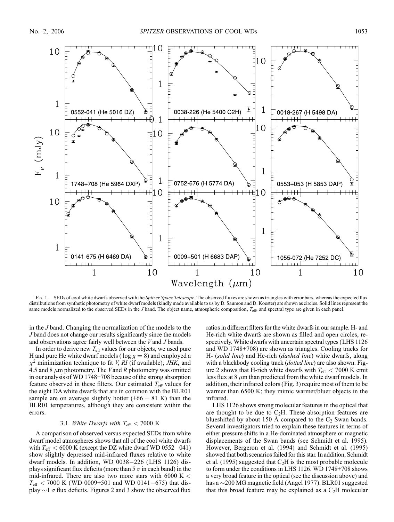

Fig. 1.—SEDs of cool white dwarfs observed with the Spitzer Space Telescope. The observed fluxes are shown as triangles with error bars, whereas the expected flux distributions from synthetic photometry of white dwarf models (kindly made available to us by D. Saumon and D. Koester) are shown as circles. Solid lines represent the same models normalized to the observed SEDs in the J band. The object name, atmospheric composition,  $T_{\text{eff}}$ , and spectral type are given in each panel.

in the J band. Changing the normalization of the models to the J band does not change our results significantly since the models and observations agree fairly well between the V and J bands.

In order to derive new  $T_{\text{eff}}$  values for our objects, we used pure H and pure He white dwarf models ( $log\ g = 8$ ) and employed a  $\chi^2$  minimization technique to fit *V*, *RI* (if available), *JHK*, and 4.5 and 8  $\mu$ m photometry. The Vand R photometry was omitted in our analysis of WD 1748+708 because of the strong absorption feature observed in these filters. Our estimated  $T_{\text{eff}}$  values for the eight DA white dwarfs that are in common with the BLR01 sample are on average slightly hotter (+66  $\pm$  81 K) than the BLR01 temperatures, although they are consistent within the errors.

## 3.1. White Dwarfs with  $T_{\text{eff}} < 7000 \text{ K}$

A comparison of observed versus expected SEDs from white dwarf model atmospheres shows that all of the cool white dwarfs with  $T_{\text{eff}} < 6000$  K (except the DZ white dwarf WD 0552-041) show slightly depressed mid-infrared fluxes relative to white dwarf models. In addition, WD  $0038-226$  (LHS 1126) displays significant flux deficits (more than  $5\sigma$  in each band) in the mid-infrared. There are also two more stars with 6000 K  $<$  $T_{\text{eff}}$  < 7000 K (WD 0009+501 and WD 0141-675) that display  $\sim$ 1  $\sigma$  flux deficits. Figures 2 and 3 show the observed flux ratios in different filters for the white dwarfs in our sample. H- and He-rich white dwarfs are shown as filled and open circles, respectively. White dwarfs with uncertain spectral types (LHS 1126 and WD 1748+708) are shown as triangles. Cooling tracks for H- (solid line) and He-rich (dashed line) white dwarfs, along with a blackbody cooling track (*dotted line*) are also shown. Figure 2 shows that H-rich white dwarfs with  $T_{\text{eff}} < 7000$  K emit less flux at 8  $\mu$ m than predicted from the white dwarf models. In addition, their infrared colors (Fig. 3) require most of them to be warmer than 6500 K; they mimic warmer/bluer objects in the infrared.

LHS 1126 shows strong molecular features in the optical that are thought to be due to  $C_2H$ . These absorption features are blueshifted by about 150 Å compared to the  $C_2$  Swan bands. Several investigators tried to explain these features in terms of either pressure shifts in a He-dominated atmosphere or magnetic displacements of the Swan bands (see Schmidt et al. 1995). However, Bergeron et al. (1994) and Schmidt et al. (1995) showed that both scenarios failed for this star. In addition, Schmidt et al. (1995) suggested that  $C_2H$  is the most probable molecule to form under the conditions in LHS 1126. WD 1748+708 shows a very broad feature in the optical (see the discussion above) and has a  $\sim$ 200 MG magnetic field (Angel 1977). BLR01 suggested that this broad feature may be explained as a  $C<sub>2</sub>H$  molecular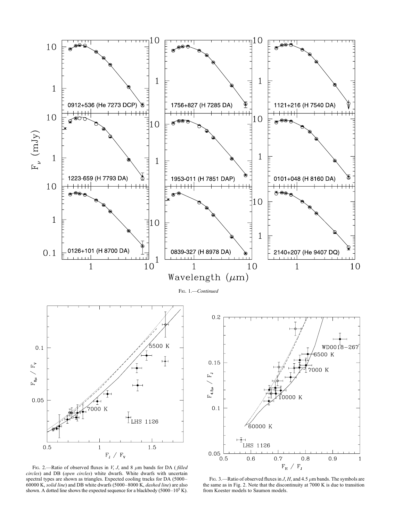

Fig. 2.—Ratio of observed fluxes in  $V$ ,  $J$ , and 8  $\mu$ m bands for DA (filled circles) and DB (open circles) white dwarfs. White dwarfs with uncertain spectral types are shown as triangles. Expected cooling tracks for DA (5000– 60000 K, solid line) and DB white dwarfs (5000–8000 K, dashed line) are also shown. A dotted line shows the expected sequence for a blackbody ( $5000-10^5$  K).

FIG. 3.—Ratio of observed fluxes in  $J$ ,  $H$ , and 4.5  $\mu$ m bands. The symbols are the same as in Fig. 2. Note that the discontinuity at 7000 K is due to transition from Koester models to Saumon models.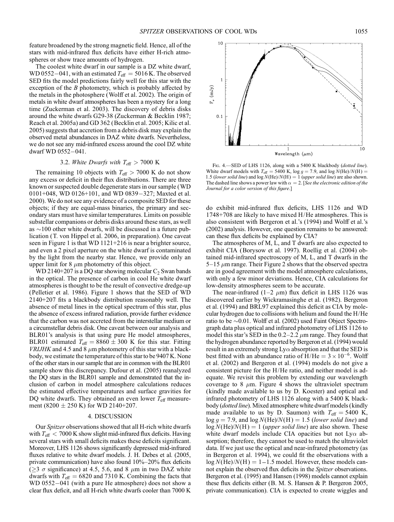feature broadened by the strong magnetic field. Hence, all of the stars with mid-infrared flux deficits have either H-rich atmospheres or show trace amounts of hydrogen.

The coolest white dwarf in our sample is a DZ white dwarf, WD 0552-041, with an estimated  $T_{\text{eff}} = 5016$  K. The observed SED fits the model predictions fairly well for this star with the exception of the  $B$  photometry, which is probably affected by the metals in the photosphere (Wolff et al. 2002). The origin of metals in white dwarf atmospheres has been a mystery for a long time (Zuckerman et al. 2003). The discovery of debris disks around the white dwarfs G29-38 (Zuckerman & Becklin 1987; Reach et al. 2005a) and GD 362 (Becklin et al. 2005; Kilic et al. 2005) suggests that accretion from a debris disk may explain the observed metal abundances in DAZ white dwarfs. Nevertheless, we do not see any mid-infrared excess around the cool DZ white dwarf WD 0552-041.

## 3.2. White Dwarfs with  $T_{\text{eff}} > 7000 \text{ K}$

The remaining 10 objects with  $T_{\text{eff}} > 7000$  K do not show any excess or deficit in their flux distributions. There are three known or suspected double degenerate stars in our sample (WD  $0101+048$ , WD  $0126+101$ , and WD  $0839-327$ ; Maxted et al. 2000). We do not see any evidence of a composite SED for these objects; if they are equal-mass binaries, the primary and secondary stars must have similar temperatures. Limits on possible substellar companions or debris disks around these stars, as well as  $\sim$ 100 other white dwarfs, will be discussed in a future publication (T. von Hippel et al. 2006, in preparation). One caveat seen in Figure 1 is that WD 1121+216 is near a brighter source, and even a 2 pixel aperture on the white dwarf is contaminated by the light from the nearby star. Hence, we provide only an upper limit for 8  $\mu$ m photometry of this object.

WD 2140+207 is a DQ star showing molecular  $C_2$  Swan bands in the optical. The presence of carbon in cool He white dwarf atmospheres is thought to be the result of convective dredge-up (Pelletier et al. 1986). Figure 1 shows that the SED of WD 2140+207 fits a blackbody distribution reasonably well. The absence of metal lines in the optical spectrum of this star, plus the absence of excess infrared radiation, provide further evidence that the carbon was not accreted from the interstellar medium or a circumstellar debris disk. One caveat between our analysis and BLR01's analysis is that using pure He model atmospheres, BLR01 estimated  $T_{\text{eff}} = 8860 \pm 300$  K for this star. Fitting *VRIJHK* and 4.5 and 8  $\mu$ m photometry of this star with a blackbody, we estimate the temperature of this star to be 9407 K. None of the other stars in our sample that are in common with the BLR01 sample show this discrepancy. Dufour et al. (2005) reanalyzed the DQ stars in the BLR01 sample and demonstrated that the inclusion of carbon in model atmosphere calculations reduces the estimated effective temperatures and surface gravities for DQ white dwarfs. They obtained an even lower  $T_{\text{eff}}$  measurement (8200  $\pm$  250 K) for WD 2140+207.

# 4. DISCUSSION

Our Spitzer observations showed that all H-rich white dwarfs with  $T_{\text{eff}} < 7000$  K show slight mid-infrared flux deficits. Having several stars with small deficits makes these deficits significant. Moreover, LHS 1126 shows significantly depressed mid-infrared fluxes relative to white dwarf models. J. H. Debes et al. (2005, private communication) have also found 10%–20% flux deficits  $\overline{(\geq)}$   $\sigma$  significance) at 4.5, 5.6, and 8  $\mu$ m in two DAZ white dwarfs with  $T_{\text{eff}} = 6820$  and 7310 K. Combining the facts that WD 0552 $-041$  (with a pure He atmosphere) does not show a clear flux deficit, and all H-rich white dwarfs cooler than 7000 K



FIG. 4.-SED of LHS 1126, along with a 5400 K blackbody (dotted line). White dwarf models with  $T_{\text{eff}} = 5400$  K, log  $g = 7.9$ , and log  $N(\text{He})/N(\text{H}) =$ 1.5 (lower solid line) and  $log N(He)/N(H) = 1$  (upper solid line) are also shown. The dashed line shows a power law with  $\alpha = 2$ . [See the electronic edition of the Journal for a color version of this figure.]

do exhibit mid-infrared flux deficits, LHS 1126 and WD 1748+708 are likely to have mixed H/He atmospheres. This is also consistent with Bergeron et al.'s (1994) and Wolff et al.'s (2002) analysis. However, one question remains to be answered: can these flux deficits be explained by CIA?

The atmospheres of M, L, and T dwarfs are also expected to exhibit CIA (Borysow et al. 1997). Roellig et al. (2004) obtained mid-infrared spectroscopy of M, L, and T dwarfs in the  $5-15 \mu m$  range. Their Figure 2 shows that the observed spectra are in good agreement with the model atmosphere calculations, with only a few minor deviations. Hence, CIA calculations for low-density atmospheres seem to be accurate.

The near-infrared (1–2  $\mu$ m) flux deficit in LHS 1126 was discovered earlier by Wickramasinghe et al. (1982). Bergeron et al. (1994) and BRL97 explained this deficit as CIA by molecular hydrogen due to collisions with helium and found the H/He ratio to be  $\sim 0.01$ . Wolff et al. (2002) used Faint Object Spectrograph data plus optical and infrared photometry of LHS 1126 to model this star's SED in the 0.2–2.2  $\mu$ m range. They found that the hydrogen abundance reported by Bergeron et al. (1994) would result in an extremely strong  $Ly\alpha$  absorption and that the SED is best fitted with an abundance ratio of  $H/He = 3 \times 10^{-6}$ . Wolff et al. (2002) and Bergeron et al. (1994) models do not give a consistent picture for the H/He ratio, and neither model is adequate. We revisit this problem by extending our wavelength coverage to 8  $\mu$ m. Figure 4 shows the ultraviolet spectrum (kindly made available to us by D. Koester) and optical and infrared photometry of LHS 1126 along with a 5400 K blackbody (dotted line). Mixed atmosphere white dwarf models (kindly made available to us by D. Saumon) with  $T_{\text{eff}} = 5400 \text{ K}$ ,  $log g = 7.9$ , and  $log N(He)/N(H) = 1.5$  (lower solid line) and  $log N(He)/N(H) = 1$  (upper solid line) are also shown. These white dwarf models include CIA opacities but not  $Ly\alpha$  absorption; therefore, they cannot be used to match the ultraviolet data. If we just use the optical and near-infrared photometry (as in Bergeron et al. 1994), we could fit the observations with a  $log N(He)/N(H) = 1-1.5$  model. However, these models cannot explain the observed flux deficits in the *Spitzer* observations. Bergeron et al. (1995) and Hansen (1998) models cannot explain these flux deficits either (B. M. S. Hansen & P. Bergeron 2005, private communication). CIA is expected to create wiggles and